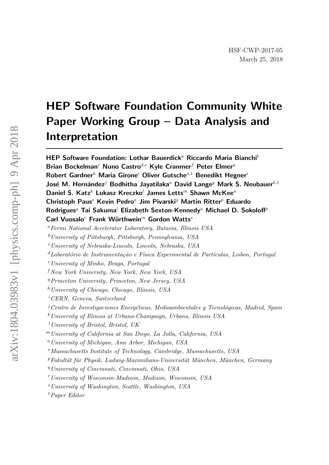# HEP Software Foundation Community White Paper Working Group – Data Analysis and Interpretation

HEP Software Foundation: Lothar Bauerdick<sup>a</sup> Riccardo Maria Bianchi<sup>b</sup> Brian Bockelman<sup>c</sup> Nuno Castro<sup>d,e</sup> Kyle Cranmer<sup>f</sup> Peter Elmer<sup>g</sup> Robert Gardner<sup>h</sup> Maria Girone<sup>i</sup> Oliver Gutsche<sup>a,1</sup> Benedikt Hegner<sup>i</sup> José M. Hernández<sup>j</sup> Bodhitha Jayatilaka<sup>a</sup> David Lange<sup>g</sup> Mark S. Neubauer<sup>k,1</sup> Daniel S. Katz<sup>k</sup> Lukasz Kreczko<sup>l</sup> James Letts<sup>m</sup> Shawn McKee<sup>n</sup> Christoph Paus<sup>o</sup> Kevin Pedro<sup>a</sup> Jim Pivarski<sup>g</sup> Martin Ritter<sup>p</sup> Eduardo Rodrigues<sup>q</sup> Tai Sakuma<sup>l</sup> Elizabeth Sexton-Kennedy<sup>a</sup> Michael D. Sokoloff<sup>p</sup> Carl Vuosalo<sup>r</sup> Frank Würthwein<sup>m</sup> Gordon Watts<sup>s</sup>

 $b$ University of Pittsburgh, Pittsburgh, Pennsylvania, USA

 $c$ University of Nebraska-Lincoln, Lincoln, Nebraska, USA

 ${}^d$ Laboratório de Instrumentação e Física Experimental de Partículas, Lisbon, Portugal

 $e$ University of Minho, Braga, Portugal

 $fNew York University, New York, New York, USA$ 

 ${}^{g}Princeton$  University, Princeton, New Jersey, USA

 $h$  University of Chicago, Chicago, Illinois, USA

<sup>i</sup>CERN, Geneva, Switzerland

 $j$ Centro de Investigaciones Energéticas, Medioambientales y Tecnológicas, Madrid, Spain

 $k$ University of Illinois at Urbana-Champaign, Urbana, Illinois USA

<sup>l</sup>University of Bristol, Bristol, UK

<sup>m</sup>University of California at San Diego, La Jolla, California, USA

 $n$  University of Michigan, Ann Arbor, Michigan, USA

 $\degree$ Massachusetts Institute of Technology, Cambridge, Massachusetts, USA

 $PFAkultät für Physik, Ludwig-Maximilians-Universität München, München, Germany$ 

<sup>q</sup>University of Cincinnati, Cincinnati, Ohio, USA

<sup>r</sup>University of Wisconsin-Madison, Madison, Wisconsin, USA

<sup>s</sup>University of Washington, Seattle, Washington, USA

<sup>1</sup>Paper Editor

<sup>a</sup>Fermi National Accelerator Laboratory, Batavia, Illinois USA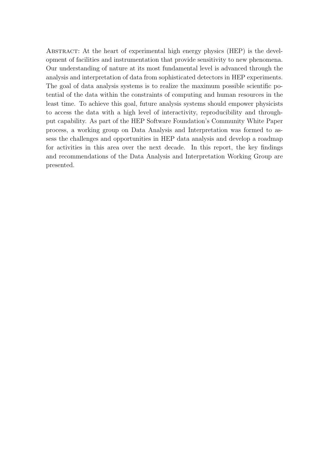ABSTRACT: At the heart of experimental high energy physics (HEP) is the development of facilities and instrumentation that provide sensitivity to new phenomena. Our understanding of nature at its most fundamental level is advanced through the analysis and interpretation of data from sophisticated detectors in HEP experiments. The goal of data analysis systems is to realize the maximum possible scientific potential of the data within the constraints of computing and human resources in the least time. To achieve this goal, future analysis systems should empower physicists to access the data with a high level of interactivity, reproducibility and throughput capability. As part of the HEP Software Foundation's Community White Paper process, a working group on Data Analysis and Interpretation was formed to assess the challenges and opportunities in HEP data analysis and develop a roadmap for activities in this area over the next decade. In this report, the key findings and recommendations of the Data Analysis and Interpretation Working Group are presented.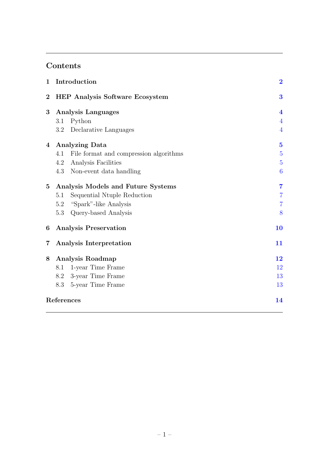# Contents

| $\mathbf{1}$     | Introduction                                  | $\overline{\mathbf{2}}$ |
|------------------|-----------------------------------------------|-------------------------|
| $\boldsymbol{2}$ | <b>HEP Analysis Software Ecosystem</b>        | $\bf{3}$                |
| 3                | <b>Analysis Languages</b>                     | $\overline{\mathbf{4}}$ |
|                  | Python<br>3.1                                 | $\overline{4}$          |
|                  | Declarative Languages<br>3.2                  | $\overline{4}$          |
| 4                | <b>Analyzing Data</b>                         | $\overline{\mathbf{5}}$ |
|                  | File format and compression algorithms<br>4.1 | $\overline{5}$          |
|                  | Analysis Facilities<br>4.2                    | $\overline{5}$          |
|                  | 4.3<br>Non-event data handling                | 6                       |
| $\bf{5}$         | Analysis Models and Future Systems            | $\overline{7}$          |
|                  | Sequential Ntuple Reduction<br>5.1            | $\overline{7}$          |
|                  | "Spark"-like Analysis<br>5.2                  | $\overline{7}$          |
|                  | Query-based Analysis<br>5.3                   | 8                       |
| 6                | <b>Analysis Preservation</b>                  | 10                      |
| 7                | Analysis Interpretation                       | 11                      |
| 8                | Analysis Roadmap                              | 12                      |
|                  | 1-year Time Frame<br>8.1                      | 12                      |
|                  | 3-year Time Frame<br>8.2                      | 13                      |
|                  | 5-year Time Frame<br>8.3                      | 13                      |
| References       |                                               | 14                      |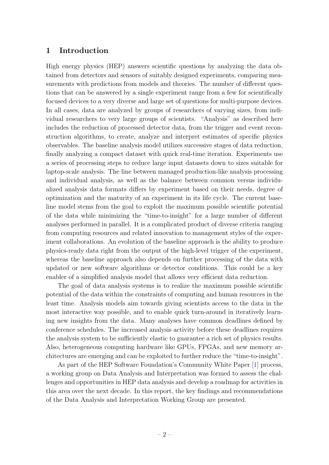#### <span id="page-3-0"></span>1 Introduction

High energy physics (HEP) answers scientific questions by analyzing the data obtained from detectors and sensors of suitably designed experiments, comparing measurements with predictions from models and theories. The number of different questions that can be answered by a single experiment range from a few for scientifically focused devices to a very diverse and large set of questions for multi-purpose devices. In all cases, data are analyzed by groups of researchers of varying sizes, from individual researchers to very large groups of scientists. "Analysis" as described here includes the reduction of processed detector data, from the trigger and event reconstruction algorithms, to create, analyze and interpret estimates of specific physics observables. The baseline analysis model utilizes successive stages of data reduction, finally analyzing a compact dataset with quick real-time iteration. Experiments use a series of processing steps to reduce large input datasets down to sizes suitable for laptop-scale analysis. The line between managed production-like analysis processing and individual analysis, as well as the balance between common versus individualized analysis data formats differs by experiment based on their needs, degree of optimization and the maturity of an experiment in its life cycle. The current baseline model stems from the goal to exploit the maximum possible scientific potential of the data while minimizing the "time-to-insight" for a large number of different analyses performed in parallel. It is a complicated product of diverse criteria ranging from computing resources and related innovation to management styles of the experiment collaborations. An evolution of the baseline approach is the ability to produce physics-ready data right from the output of the high-level trigger of the experiment, whereas the baseline approach also depends on further processing of the data with updated or new software algorithms or detector conditions. This could be a key enabler of a simplified analysis model that allows very efficient data reduction.

The goal of data analysis systems is to realize the maximum possible scientific potential of the data within the constraints of computing and human resources in the least time. Analysis models aim towards giving scientists access to the data in the most interactive way possible, and to enable quick turn-around in iteratively learning new insights from the data. Many analyses have common deadlines defined by conference schedules. The increased analysis activity before these deadlines requires the analysis system to be sufficiently elastic to guarantee a rich set of physics results. Also, heterogeneous computing hardware like GPUs, FPGAs, and new memory architectures are emerging and can be exploited to further reduce the "time-to-insight".

As part of the HEP Software Foundation's Community White Paper [\[1\]](#page-15-1) process, a working group on Data Analysis and Interpretation was formed to assess the challenges and opportunities in HEP data analysis and develop a roadmap for activities in this area over the next decade. In this report, the key findings and recommendations of the Data Analysis and Interpretation Working Group are presented.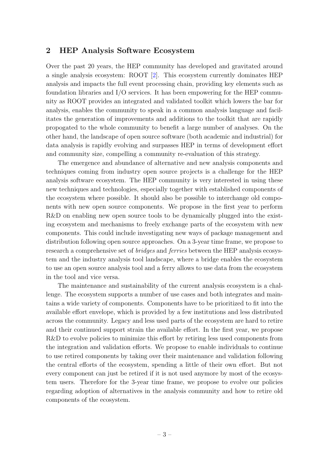#### <span id="page-4-0"></span>2 HEP Analysis Software Ecosystem

Over the past 20 years, the HEP community has developed and gravitated around a single analysis ecosystem: ROOT [\[2\]](#page-15-2). This ecosystem currently dominates HEP analysis and impacts the full event processing chain, providing key elements such as foundation libraries and I/O services. It has been empowering for the HEP community as ROOT provides an integrated and validated toolkit which lowers the bar for analysis, enables the community to speak in a common analysis language and facilitates the generation of improvements and additions to the toolkit that are rapidly propogated to the whole community to benefit a large number of analyses. On the other hand, the landscape of open source software (both academic and industrial) for data analysis is rapidly evolving and surpasses HEP in terms of development effort and community size, compelling a community re-evaluation of this strategy.

The emergence and abundance of alternative and new analysis components and techniques coming from industry open source projects is a challenge for the HEP analysis software ecosystem. The HEP community is very interested in using these new techniques and technologies, especially together with established components of the ecosystem where possible. It should also be possible to interchange old components with new open source components. We propose in the first year to perform R&D on enabling new open source tools to be dynamically plugged into the existing ecosystem and mechanisms to freely exchange parts of the ecosystem with new components. This could include investigating new ways of package management and distribution following open source approaches. On a 3-year time frame, we propose to research a comprehensive set of *bridges* and *ferries* between the HEP analysis ecosystem and the industry analysis tool landscape, where a bridge enables the ecosystem to use an open source analysis tool and a ferry allows to use data from the ecosystem in the tool and vice versa.

The maintenance and sustainability of the current analysis ecosystem is a challenge. The ecosystem supports a number of use cases and both integrates and maintains a wide variety of components. Components have to be prioritized to fit into the available effort envelope, which is provided by a few institutions and less distributed across the community. Legacy and less used parts of the ecosystem are hard to retire and their continued support strain the available effort. In the first year, we propose R&D to evolve policies to minimize this effort by retiring less used components from the integration and validation efforts. We propose to enable individuals to continue to use retired components by taking over their maintenance and validation following the central efforts of the ecosystem, spending a little of their own effort. But not every component can just be retired if it is not used anymore by most of the ecosystem users. Therefore for the 3-year time frame, we propose to evolve our policies regarding adoption of alternatives in the analysis community and how to retire old components of the ecosystem.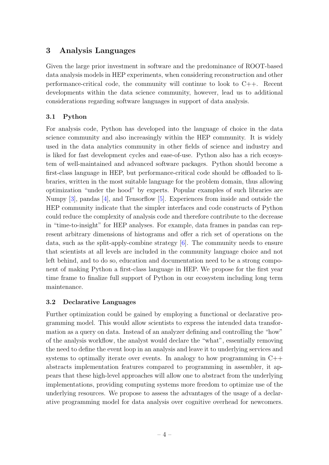# <span id="page-5-0"></span>3 Analysis Languages

Given the large prior investment in software and the predominance of ROOT-based data analysis models in HEP experiments, when considering reconstruction and other performance-critical code, the community will continue to look to C++. Recent developments within the data science community, however, lead us to additional considerations regarding software languages in support of data analysis.

# <span id="page-5-1"></span>3.1 Python

For analysis code, Python has developed into the language of choice in the data science community and also increasingly within the HEP community. It is widely used in the data analytics community in other fields of science and industry and is liked for fast development cycles and ease-of-use. Python also has a rich ecosystem of well-maintained and advanced software packages. Python should become a first-class language in HEP, but performance-critical code should be offloaded to libraries, written in the most suitable language for the problem domain, thus allowing optimization "under the hood" by experts. Popular examples of such libraries are Numpy [\[3\]](#page-15-3), pandas [\[4\]](#page-15-4), and Tensorflow [\[5\]](#page-15-5). Experiences from inside and outside the HEP community indicate that the simpler interfaces and code constructs of Python could reduce the complexity of analysis code and therefore contribute to the decrease in "time-to-insight" for HEP analyses. For example, data frames in pandas can represent arbitrary dimensions of histograms and offer a rich set of operations on the data, such as the split-apply-combine strategy  $[6]$ . The community needs to ensure that scientists at all levels are included in the community language choice and not left behind, and to do so, education and documentation need to be a strong component of making Python a first-class language in HEP. We propose for the first year time frame to finalize full support of Python in our ecosystem including long term maintenance.

# <span id="page-5-2"></span>3.2 Declarative Languages

Further optimization could be gained by employing a functional or declarative programming model. This would allow scientists to express the intended data transformation as a query on data. Instead of an analyzer defining and controlling the "how" of the analysis workflow, the analyst would declare the "what", essentially removing the need to define the event loop in an analysis and leave it to underlying services and systems to optimally iterate over events. In analogy to how programming in C++ abstracts implementation features compared to programming in assembler, it appears that these high-level approaches will allow one to abstract from the underlying implementations, providing computing systems more freedom to optimize use of the underlying resources. We propose to assess the advantages of the usage of a declarative programming model for data analysis over cognitive overhead for newcomers.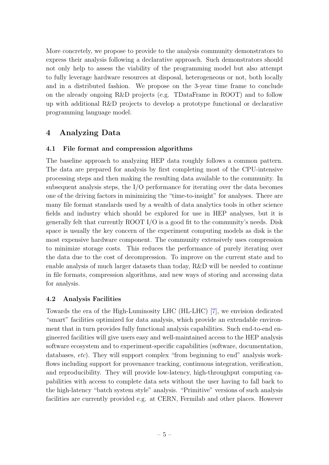More concretely, we propose to provide to the analysis community demonstrators to express their analysis following a declarative approach. Such demonstrators should not only help to assess the viability of the programming model but also attempt to fully leverage hardware resources at disposal, heterogeneous or not, both locally and in a distributed fashion. We propose on the 3-year time frame to conclude on the already ongoing R&D projects (e.g. TDataFrame in ROOT) and to follow up with additional R&D projects to develop a prototype functional or declarative programming language model.

# <span id="page-6-0"></span>4 Analyzing Data

#### <span id="page-6-1"></span>4.1 File format and compression algorithms

The baseline approach to analyzing HEP data roughly follows a common pattern. The data are prepared for analysis by first completing most of the CPU-intensive processing steps and then making the resulting data available to the community. In subsequent analysis steps, the I/O performance for iterating over the data becomes one of the driving factors in minimizing the "time-to-insight" for analyses. There are many file format standards used by a wealth of data analytics tools in other science fields and industry which should be explored for use in HEP analyses, but it is generally felt that currently ROOT I/O is a good fit to the community's needs. Disk space is usually the key concern of the experiment computing models as disk is the most expensive hardware component. The community extensively uses compression to minimize storage costs. This reduces the performance of purely iterating over the data due to the cost of decompression. To improve on the current state and to enable analysis of much larger datasets than today, R&D will be needed to continue in file formats, compression algorithms, and new ways of storing and accessing data for analysis.

#### <span id="page-6-2"></span>4.2 Analysis Facilities

Towards the era of the High-Luminosity LHC (HL-LHC) [\[7\]](#page-15-7), we envision dedicated "smart" facilities optimized for data analysis, which provide an extendable environment that in turn provides fully functional analysis capabilities. Such end-to-end engineered facilities will give users easy and well-maintained access to the HEP analysis software ecosystem and to experiment-specific capabilities (software, documentation, databases, etc). They will support complex "from beginning to end" analysis workflows including support for provenance tracking, continuous integration, verification, and reproducibility. They will provide low-latency, high-throughput computing capabilities with access to complete data sets without the user having to fall back to the high-latency "batch system style" analysis. "Primitive" versions of such analysis facilities are currently provided e.g. at CERN, Fermilab and other places. However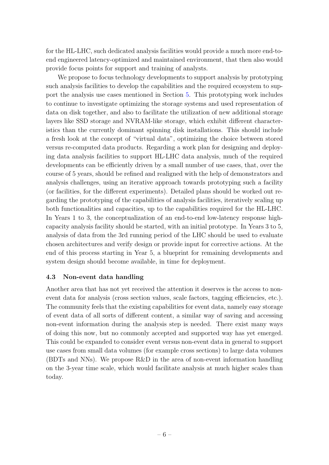for the HL-LHC, such dedicated analysis facilities would provide a much more end-toend engineered latency-optimized and maintained environment, that then also would provide focus points for support and training of analysts.

We propose to focus technology developments to support analysis by prototyping such analysis facilities to develop the capabilities and the required ecosystem to support the analysis use cases mentioned in Section [5.](#page-8-0) This prototyping work includes to continue to investigate optimizing the storage systems and used representation of data on disk together, and also to facilitate the utilization of new additional storage layers like SSD storage and NVRAM-like storage, which exhibit different characteristics than the currently dominant spinning disk installations. This should include a fresh look at the concept of "virtual data", optimizing the choice between stored versus re-computed data products. Regarding a work plan for designing and deploying data analysis facilities to support HL-LHC data analysis, much of the required developments can be efficiently driven by a small number of use cases, that, over the course of 5 years, should be refined and realigned with the help of demonstrators and analysis challenges, using an iterative approach towards prototyping such a facility (or facilities, for the different experiments). Detailed plans should be worked out regarding the prototyping of the capabilities of analysis facilities, iteratively scaling up both functionalities and capacities, up to the capabilities required for the HL-LHC. In Years 1 to 3, the conceptualization of an end-to-end low-latency response highcapacity analysis facility should be started, with an initial prototype. In Years 3 to 5, analysis of data from the 3rd running period of the LHC should be used to evaluate chosen architectures and verify design or provide input for corrective actions. At the end of this process starting in Year 5, a blueprint for remaining developments and system design should become available, in time for deployment.

#### <span id="page-7-0"></span>4.3 Non-event data handling

Another area that has not yet received the attention it deserves is the access to nonevent data for analysis (cross section values, scale factors, tagging efficiencies, etc.). The community feels that the existing capabilities for event data, namely easy storage of event data of all sorts of different content, a similar way of saving and accessing non-event information during the analysis step is needed. There exist many ways of doing this now, but no commonly accepted and supported way has yet emerged. This could be expanded to consider event versus non-event data in general to support use cases from small data volumes (for example cross sections) to large data volumes (BDTs and NNs). We propose R&D in the area of non-event information handling on the 3-year time scale, which would facilitate analysis at much higher scales than today.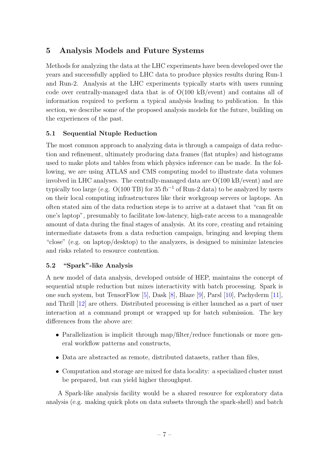# <span id="page-8-0"></span>5 Analysis Models and Future Systems

Methods for analyzing the data at the LHC experiments have been developed over the years and successfully applied to LHC data to produce physics results during Run-1 and Run-2. Analysis at the LHC experiments typically starts with users running code over centrally-managed data that is of O(100 kB/event) and contains all of information required to perform a typical analysis leading to publication. In this section, we describe some of the proposed analysis models for the future, building on the experiences of the past.

## <span id="page-8-1"></span>5.1 Sequential Ntuple Reduction

The most common approach to analyzing data is through a campaign of data reduction and refinement, ultimately producing data frames (flat ntuples) and histograms used to make plots and tables from which physics inference can be made. In the following, we are using ATLAS and CMS computing model to illustrate data volumes involved in LHC analyses. The centrally-managed data are O(100 kB/event) and are typically too large (e.g.  $O(100 \text{ TB})$  for 35 fb<sup>-1</sup> of Run-2 data) to be analyzed by users on their local computing infrastructures like their workgroup servers or laptops. An often stated aim of the data reduction steps is to arrive at a dataset that "can fit on one's laptop", presumably to facilitate low-latency, high-rate access to a manageable amount of data during the final stages of analysis. At its core, creating and retaining intermediate datasets from a data reduction campaign, bringing and keeping them "close" (e.g. on laptop/desktop) to the analyzers, is designed to minimize latencies and risks related to resource contention.

## <span id="page-8-2"></span>5.2 "Spark"-like Analysis

A new model of data analysis, developed outside of HEP, maintains the concept of sequential ntuple reduction but mixes interactivity with batch processing. Spark is one such system, but TensorFlow [\[5\]](#page-15-5), Dask [\[8\]](#page-15-8), Blaze [\[9\]](#page-15-9), Parsl [\[10\]](#page-15-10), Pachyderm [\[11\]](#page-15-11), and Thrill [\[12\]](#page-16-0) are others. Distributed processing is either launched as a part of user interaction at a command prompt or wrapped up for batch submission. The key differences from the above are:

- Parallelization is implicit through map/filter/reduce functionals or more general workflow patterns and constructs,
- Data are abstracted as remote, distributed datasets, rather than files,
- Computation and storage are mixed for data locality: a specialized cluster must be prepared, but can yield higher throughput.

A Spark-like analysis facility would be a shared resource for exploratory data analysis (e.g. making quick plots on data subsets through the spark-shell) and batch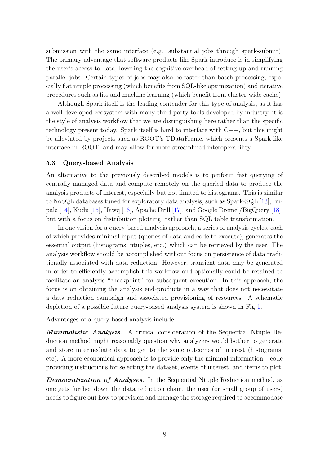submission with the same interface (e.g. substantial jobs through spark-submit). The primary advantage that software products like Spark introduce is in simplifying the user's access to data, lowering the cognitive overhead of setting up and running parallel jobs. Certain types of jobs may also be faster than batch processing, especially flat ntuple processing (which benefits from SQL-like optimization) and iterative procedures such as fits and machine learning (which benefit from cluster-wide cache).

Although Spark itself is the leading contender for this type of analysis, as it has a well-developed ecosystem with many third-party tools developed by industry, it is the style of analysis workflow that we are distinguishing here rather than the specific technology present today. Spark itself is hard to interface with C++, but this might be alleviated by projects such as ROOT's TDataFrame, which presents a Spark-like interface in ROOT, and may allow for more streamlined interoperability.

#### <span id="page-9-0"></span>5.3 Query-based Analysis

An alternative to the previously described models is to perform fast querying of centrally-managed data and compute remotely on the queried data to produce the analysis products of interest, especially but not limited to histograms. This is similar to NoSQL databases tuned for exploratory data analysis, such as Spark-SQL [\[13\]](#page-16-1), Impala [\[14\]](#page-16-2), Kudu [\[15\]](#page-16-3), Hawq [\[16\]](#page-16-4), Apache Drill [\[17\]](#page-16-5), and Google Dremel/BigQuery [\[18\]](#page-16-6), but with a focus on distribution plotting, rather than SQL table transformation.

In one vision for a query-based analysis approach, a series of analysis cycles, each of which provides minimal input (queries of data and code to execute), generates the essential output (histograms, ntuples, etc.) which can be retrieved by the user. The analysis workflow should be accomplished without focus on persistence of data traditionally associated with data reduction. However, transient data may be generated in order to efficiently accomplish this workflow and optionally could be retained to facilitate an analysis "checkpoint" for subsequent execution. In this approach, the focus is on obtaining the analysis end-products in a way that does not necessitate a data reduction campaign and associated provisioning of resources. A schematic depiction of a possible future query-based analysis system is shown in Fig [1.](#page-10-0)

Advantages of a query-based analysis include:

**Minimalistic Analysis.** A critical consideration of the Sequential Ntuple Reduction method might reasonably question why analyzers would bother to generate and store intermediate data to get to the same outcomes of interest (histograms, etc). A more economical approach is to provide only the minimal information – code providing instructions for selecting the dataset, events of interest, and items to plot.

**Democratization of Analyses**. In the Sequential Ntuple Reduction method, as one gets further down the data reduction chain, the user (or small group of users) needs to figure out how to provision and manage the storage required to accommodate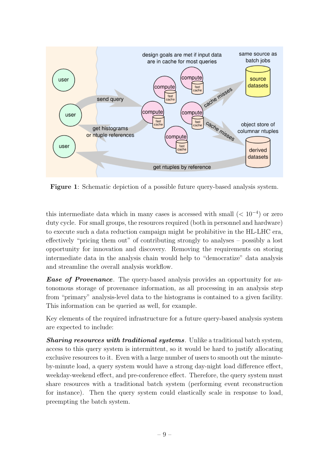<span id="page-10-0"></span>

Figure 1: Schematic depiction of a possible future query-based analysis system.

this intermediate data which in many cases is accessed with small  $(< 10^{-4}$ ) or zero duty cycle. For small groups, the resources required (both in personnel and hardware) to execute such a data reduction campaign might be prohibitive in the HL-LHC era, effectively "pricing them out" of contributing strongly to analyses – possibly a lost opportunity for innovation and discovery. Removing the requirements on storing intermediate data in the analysis chain would help to "democratize" data analysis and streamline the overall analysis workflow.

**Ease of Provenance**. The query-based analysis provides an opportunity for autonomous storage of provenance information, as all processing in an analysis step from "primary" analysis-level data to the histograms is contained to a given facility. This information can be queried as well, for example.

Key elements of the required infrastructure for a future query-based analysis system are expected to include:

**Sharing resources with traditional systems**. Unlike a traditional batch system, access to this query system is intermittent, so it would be hard to justify allocating exclusive resources to it. Even with a large number of users to smooth out the minuteby-minute load, a query system would have a strong day-night load difference effect, weekday-weekend effect, and pre-conference effect. Therefore, the query system must share resources with a traditional batch system (performing event reconstruction for instance). Then the query system could elastically scale in response to load, preempting the batch system.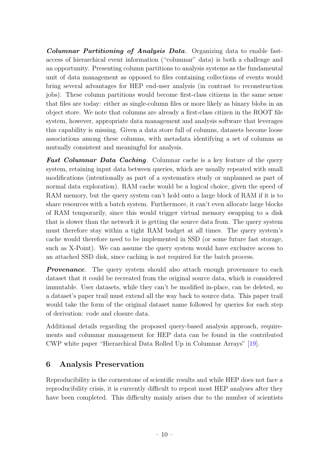Columnar Partitioning of Analysis Data. Organizing data to enable fastaccess of hierarchical event information ("columnar" data) is both a challenge and an opportunity. Presenting column partitions to analysis systems as the fundamental unit of data management as opposed to files containing collections of events would bring several advantages for HEP end-user analysis (in contrast to reconstruction jobs). These column partitions would become first-class citizens in the same sense that files are today: either as single-column files or more likely as binary blobs in an object store. We note that columns are already a first-class citizen in the ROOT file system, however, appropriate data management and analysis software that leverages this capability is missing. Given a data store full of columns, datasets become loose associations among these columns, with metadata identifying a set of columns as mutually consistent and meaningful for analysis.

**Fast Columnar Data Caching.** Columnar cache is a key feature of the query system, retaining input data between queries, which are usually repeated with small modifications (intentionally as part of a systematics study or unplanned as part of normal data exploration). RAM cache would be a logical choice, given the speed of RAM memory, but the query system can't hold onto a large block of RAM if it is to share resources with a batch system. Furthermore, it can't even allocate large blocks of RAM temporarily, since this would trigger virtual memory swapping to a disk that is slower than the network it is getting the source data from. The query system must therefore stay within a tight RAM budget at all times. The query system's cache would therefore need to be implemented in SSD (or some future fast storage, such as X-Point). We can assume the query system would have exclusive access to an attached SSD disk, since caching is not required for the batch process.

**Provenance**. The query system should also attach enough provenance to each dataset that it could be recreated from the original source data, which is considered immutable. User datasets, while they can't be modified in-place, can be deleted, so a dataset's paper trail must extend all the way back to source data. This paper trail would take the form of the original dataset name followed by queries for each step of derivation: code and closure data.

Additional details regarding the proposed query-based analysis approach, requirements and columnar management for HEP data can be found in the contributed CWP white paper "Hierarchical Data Rolled Up in Columnar Arrays" [\[19\]](#page-16-7).

# <span id="page-11-0"></span>6 Analysis Preservation

Reproducibility is the cornerstone of scientific results and while HEP does not face a reproducibility crisis, it is currently difficult to repeat most HEP analyses after they have been completed. This difficulty mainly arises due to the number of scientists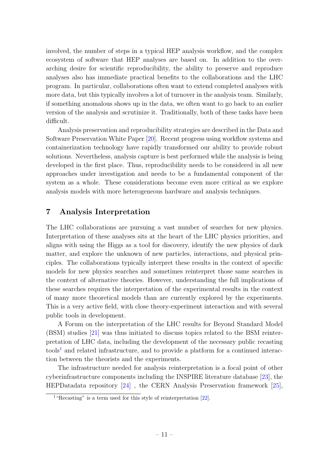involved, the number of steps in a typical HEP analysis workflow, and the complex ecosystem of software that HEP analyses are based on. In addition to the overarching desire for scientific reproducibility, the ability to preserve and reproduce analyses also has immediate practical benefits to the collaborations and the LHC program. In particular, collaborations often want to extend completed analyses with more data, but this typically involves a lot of turnover in the analysis team. Similarly, if something anomalous shows up in the data, we often want to go back to an earlier version of the analysis and scrutinize it. Traditionally, both of these tasks have been difficult.

Analysis preservation and reproducibility strategies are described in the Data and Software Preservation White Paper [\[20\]](#page-16-8). Recent progress using workflow systems and containerization technology have rapidly transformed our ability to provide robust solutions. Nevertheless, analysis capture is best performed while the analysis is being developed in the first place. Thus, reproducibility needs to be considered in all new approaches under investigation and needs to be a fundamental component of the system as a whole. These considerations become even more critical as we explore analysis models with more heterogeneous hardware and analysis techniques.

# <span id="page-12-0"></span>7 Analysis Interpretation

The LHC collaborations are pursuing a vast number of searches for new physics. Interpretation of these analyses sits at the heart of the LHC physics priorities, and aligns with using the Higgs as a tool for discovery, identify the new physics of dark matter, and explore the unknown of new particles, interactions, and physical principles. The collaborations typically interpret these results in the context of specific models for new physics searches and sometimes reinterpret those same searches in the context of alternative theories. However, understanding the full implications of these searches requires the interpretation of the experimental results in the context of many more theoretical models than are currently explored by the experiments. This is a very active field, with close theory-experiment interaction and with several public tools in development.

A Forum on the interpretation of the LHC results for Beyond Standard Model (BSM) studies [\[21\]](#page-16-9) was thus initiated to discuss topics related to the BSM reinterpretation of LHC data, including the development of the necessary public recasting  $\text{tools}^1$  $\text{tools}^1$  and related infrastructure, and to provide a platform for a continued interaction between the theorists and the experiments.

The infrastructure needed for analysis reinterpretation is a focal point of other cyberinfrastructure components including the INSPIRE literature database [\[23\]](#page-17-0), the HEPDatadata repository [\[24\]](#page-17-1) , the CERN Analysis Preservation framework [\[25\]](#page-17-2),

<span id="page-12-1"></span><sup>&</sup>lt;sup>1</sup> "Recasting" is a term used for this style of reinterpretation [\[22\]](#page-16-10).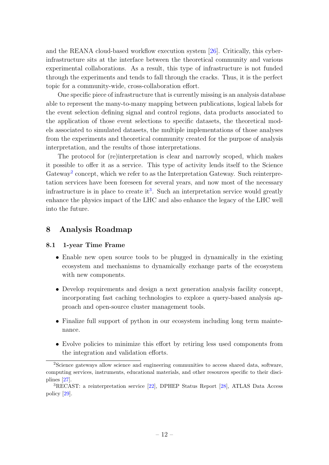and the REANA cloud-based workflow execution system [\[26\]](#page-17-3). Critically, this cyberinfrastructure sits at the interface between the theoretical community and various experimental collaborations. As a result, this type of infrastructure is not funded through the experiments and tends to fall through the cracks. Thus, it is the perfect topic for a community-wide, cross-collaboration effort.

One specific piece of infrastructure that is currently missing is an analysis database able to represent the many-to-many mapping between publications, logical labels for the event selection defining signal and control regions, data products associated to the application of those event selections to specific datasets, the theoretical models associated to simulated datasets, the multiple implementations of those analyses from the experiments and theoretical community created for the purpose of analysis interpretation, and the results of those interpretations.

The protocol for (re)interpretation is clear and narrowly scoped, which makes it possible to offer it as a service. This type of activity lends itself to the Science Gateway<sup>[2](#page-13-2)</sup> concept, which we refer to as the Interpretation Gateway. Such reinterpretation services have been foreseen for several years, and now most of the necessary infrastructure is in place to create it<sup>[3](#page-13-3)</sup>. Such an interpretation service would greatly enhance the physics impact of the LHC and also enhance the legacy of the LHC well into the future.

#### <span id="page-13-0"></span>8 Analysis Roadmap

#### <span id="page-13-1"></span>8.1 1-year Time Frame

- Enable new open source tools to be plugged in dynamically in the existing ecosystem and mechanisms to dynamically exchange parts of the ecosystem with new components.
- Develop requirements and design a next generation analysis facility concept, incorporating fast caching technologies to explore a query-based analysis approach and open-source cluster management tools.
- Finalize full support of python in our ecosystem including long term maintenance.
- Evolve policies to minimize this effort by retiring less used components from the integration and validation efforts.

<span id="page-13-2"></span><sup>2</sup>Science gateways allow science and engineering communities to access shared data, software, computing services, instruments, educational materials, and other resources specific to their disciplines [\[27\]](#page-17-4).

<span id="page-13-3"></span><sup>3</sup>RECAST: a reinterpretation service [\[22\]](#page-16-10), DPHEP Status Report [\[28\]](#page-17-5), ATLAS Data Access policy [\[29\]](#page-17-6).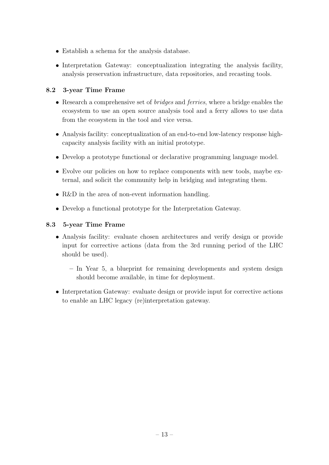- Establish a schema for the analysis database.
- Interpretation Gateway: conceptualization integrating the analysis facility, analysis preservation infrastructure, data repositories, and recasting tools.

#### <span id="page-14-0"></span>8.2 3-year Time Frame

- Research a comprehensive set of *bridges* and *ferries*, where a bridge enables the ecosystem to use an open source analysis tool and a ferry allows to use data from the ecosystem in the tool and vice versa.
- Analysis facility: conceptualization of an end-to-end low-latency response highcapacity analysis facility with an initial prototype.
- Develop a prototype functional or declarative programming language model.
- Evolve our policies on how to replace components with new tools, maybe external, and solicit the community help in bridging and integrating them.
- R&D in the area of non-event information handling.
- Develop a functional prototype for the Interpretation Gateway.

#### <span id="page-14-1"></span>8.3 5-year Time Frame

- Analysis facility: evaluate chosen architectures and verify design or provide input for corrective actions (data from the 3rd running period of the LHC should be used).
	- In Year 5, a blueprint for remaining developments and system design should become available, in time for deployment.
- Interpretation Gateway: evaluate design or provide input for corrective actions to enable an LHC legacy (re)interpretation gateway.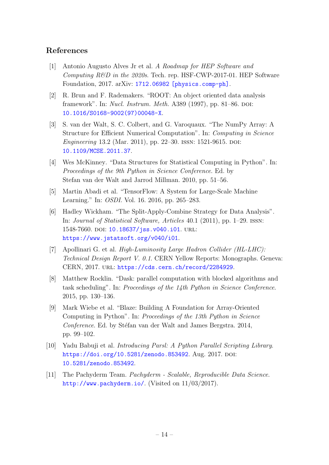# <span id="page-15-0"></span>References

- <span id="page-15-1"></span>[1] Antonio Augusto Alves Jr et al. A Roadmap for HEP Software and Computing  $R\&D$  in the 2020s. Tech. rep. HSF-CWP-2017-01. HEP Software Foundation, 2017. arXiv: [1712.06982 \[physics.comp-ph\]](http://arxiv.org/abs/1712.06982).
- <span id="page-15-2"></span>[2] R. Brun and F. Rademakers. "ROOT: An object oriented data analysis framework". In: *Nucl. Instrum. Meth.* A389  $(1997)$ , pp. 81–86. DOI: [10.1016/S0168-9002\(97\)00048-X](http://dx.doi.org/10.1016/S0168-9002(97)00048-X).
- <span id="page-15-3"></span>[3] S. van der Walt, S. C. Colbert, and G. Varoquaux. "The NumPy Array: A Structure for Efficient Numerical Computation". In: Computing in Science Engineering 13.2 (Mar. 2011), pp. 22–30. ISSN: 1521-9615. DOI: [10.1109/MCSE.2011.37](http://dx.doi.org/10.1109/MCSE.2011.37).
- <span id="page-15-4"></span>[4] Wes McKinney. "Data Structures for Statistical Computing in Python". In: Proceedings of the 9th Python in Science Conference. Ed. by Stefan van der Walt and Jarrod Millman. 2010, pp. 51–56.
- <span id="page-15-5"></span>[5] Martin Abadi et al. "TensorFlow: A System for Large-Scale Machine Learning." In: OSDI. Vol. 16. 2016, pp. 265–283.
- <span id="page-15-6"></span>[6] Hadley Wickham. "The Split-Apply-Combine Strategy for Data Analysis". In: Journal of Statistical Software, Articles 40.1 (2011), pp. 1–29. issn: 1548-7660. DOI: [10.18637/jss.v040.i01](http://dx.doi.org/10.18637/jss.v040.i01). URL: <https://www.jstatsoft.org/v040/i01>.
- <span id="page-15-7"></span>[7] Apollinari G. et al. High-Luminosity Large Hadron Collider (HL-LHC): Technical Design Report V. 0.1. CERN Yellow Reports: Monographs. Geneva: CERN, 2017. url: <https://cds.cern.ch/record/2284929>.
- <span id="page-15-8"></span>[8] Matthew Rocklin. "Dask: parallel computation with blocked algorithms and task scheduling". In: Proceedings of the 14th Python in Science Conference. 2015, pp. 130–136.
- <span id="page-15-9"></span>[9] Mark Wiebe et al. "Blaze: Building A Foundation for Array-Oriented Computing in Python". In: Proceedings of the 13th Python in Science Conference. Ed. by Stéfan van der Walt and James Bergstra. 2014, pp. 99–102.
- <span id="page-15-10"></span>[10] Yadu Babuji et al. Introducing Parsl: A Python Parallel Scripting Library. <https://doi.org/10.5281/zenodo.853492>. Aug. 2017. DOI: [10.5281/zenodo.853492](http://dx.doi.org/10.5281/zenodo.853492).
- <span id="page-15-11"></span>[11] The Pachyderm Team. Pachyderm - Scalable, Reproducible Data Science. <http://www.pachyderm.io/>. (Visited on 11/03/2017).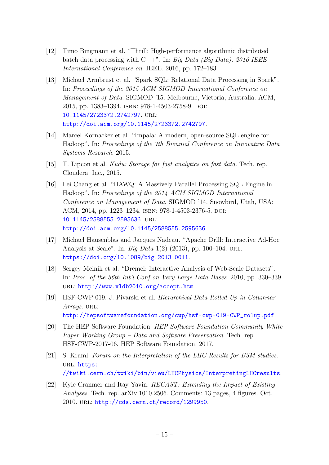- <span id="page-16-0"></span>[12] Timo Bingmann et al. "Thrill: High-performance algorithmic distributed batch data processing with C++". In: Big Data (Big Data), 2016 IEEE International Conference on. IEEE. 2016, pp. 172–183.
- <span id="page-16-1"></span>[13] Michael Armbrust et al. "Spark SQL: Relational Data Processing in Spark". In: Proceedings of the 2015 ACM SIGMOD International Conference on Management of Data. SIGMOD '15. Melbourne, Victoria, Australia: ACM, 2015, pp. 1383–1394. isbn: 978-1-4503-2758-9. doi: [10.1145/2723372.2742797](http://dx.doi.org/10.1145/2723372.2742797). url: <http://doi.acm.org/10.1145/2723372.2742797>.
- <span id="page-16-2"></span>[14] Marcel Kornacker et al. "Impala: A modern, open-source SQL engine for Hadoop". In: Proceedings of the 7th Biennial Conference on Innovative Data Systems Research. 2015.
- <span id="page-16-3"></span>[15] T. Lipcon et al. Kudu: Storage for fast analytics on fast data. Tech. rep. Cloudera, Inc., 2015.
- <span id="page-16-4"></span>[16] Lei Chang et al. "HAWQ: A Massively Parallel Processing SQL Engine in Hadoop". In: Proceedings of the 2014 ACM SIGMOD International Conference on Management of Data. SIGMOD '14. Snowbird, Utah, USA: ACM, 2014, pp. 1223–1234. isbn: 978-1-4503-2376-5. doi: [10.1145/2588555.2595636](http://dx.doi.org/10.1145/2588555.2595636). url: <http://doi.acm.org/10.1145/2588555.2595636>.
- <span id="page-16-5"></span>[17] Michael Hausenblas and Jacques Nadeau. "Apache Drill: Interactive Ad-Hoc Analysis at Scale". In: Big Data 1(2) (2013), pp. 100–104. url: <https://doi.org/10.1089/big.2013.0011>.
- <span id="page-16-6"></span>[18] Sergey Melnik et al. "Dremel: Interactive Analysis of Web-Scale Datasets". In: Proc. of the 36th Int'l Conf on Very Large Data Bases. 2010, pp. 330–339. url: <http://www.vldb2010.org/accept.htm>.
- <span id="page-16-7"></span>[19] HSF-CWP-019: J. Pivarski et al. Hierarchical Data Rolled Up in Columnar Arrays. URL: [http://hepsoftwarefoundation.org/cwp/hsf-cwp-019-CWP\\_rolup.pdf](http://hepsoftwarefoundation.org/cwp/hsf-cwp-019-CWP_rolup.pdf).
- <span id="page-16-8"></span>[20] The HEP Software Foundation. HEP Software Foundation Community White Paper Working Group – Data and Software Preservation. Tech. rep. HSF-CWP-2017-06. HEP Software Foundation, 2017.
- <span id="page-16-9"></span>[21] S. Kraml. Forum on the Interpretation of the LHC Results for BSM studies. URL: [https:](https://twiki.cern.ch/twiki/bin/view/LHCPhysics/InterpretingLHCresults) [//twiki.cern.ch/twiki/bin/view/LHCPhysics/InterpretingLHCresults](https://twiki.cern.ch/twiki/bin/view/LHCPhysics/InterpretingLHCresults).
- <span id="page-16-10"></span>[22] Kyle Cranmer and Itay Yavin. RECAST: Extending the Impact of Existing Analyses. Tech. rep. arXiv:1010.2506. Comments: 13 pages, 4 figures. Oct. 2010. url: <http://cds.cern.ch/record/1299950>.